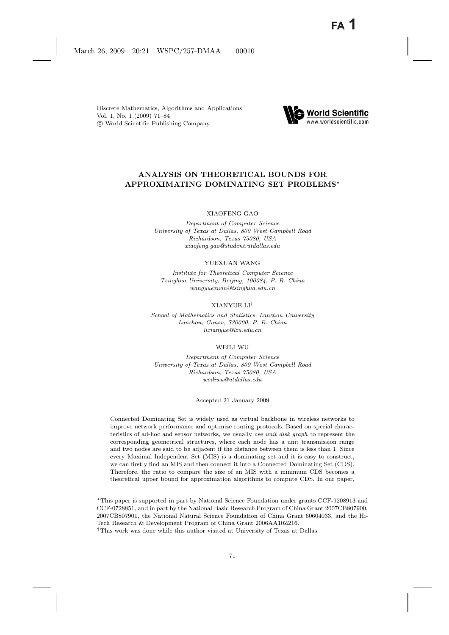Discrete Mathematics, Algorithms and Applications Vol. 1, No. 1 (2009) 71–84 c World Scientific Publishing Company



# **ANALYSIS ON THEORETICAL BOUNDS FOR APPROXIMATING DOMINATING SET PROBLEMS***∗*

XIAOFENG GAO

*Department of Computer Science University of Texas at Dallas, 800 West Campbell Road Richardson, Texas 75080, USA xiaofeng.gao@student.utdallas.edu*

YUEXUAN WANG

*Institute for Theoretical Computer Science Tsinghua University, Beijing, 100084, P. R. China wangyuexuan@tsinghua.edu.cn*

#### XIANYUE LI†

*School of Mathematics and Statistics, Lanzhou University Lanzhou, Gansu, 730000, P. R. China lixianyue@lzu.edu.cn*

#### WEILI WU

*Department of Computer Science University of Texas at Dallas, 800 West Campbell Road Richardson, Texas 75080, USA weiliwu@utdallas.edu*

Accepted 21 January 2009

Connected Dominating Set is widely used as virtual backbone in wireless networks to improve network performance and optimize routing protocols. Based on special characteristics of ad-hoc and sensor networks, we usually use *unit disk graph* to represent the corresponding geometrical structures, where each node has a unit transmission range and two nodes are said to be adjacent if the distance between them is less than 1. Since every Maximal Independent Set (MIS) is a dominating set and it is easy to construct, we can firstly find an MIS and then connect it into a Connected Dominating Set (CDS). Therefore, the ratio to compare the size of an MIS with a minimum CDS becomes a theoretical upper bound for approximation algorithms to compute CDS. In our paper,

∗This paper is supported in part by National Science Foundation under grants CCF-9208913 and CCF-0728851, and in part by the National Basic Research Program of China Grant 2007CB807900, 2007CB807901, the National Natural Science Foundation of China Grant 60604033, and the Hi-Tech Research & Development Program of China Grant 2006AA10Z216.

†This work was done while this author visited at University of Texas at Dallas.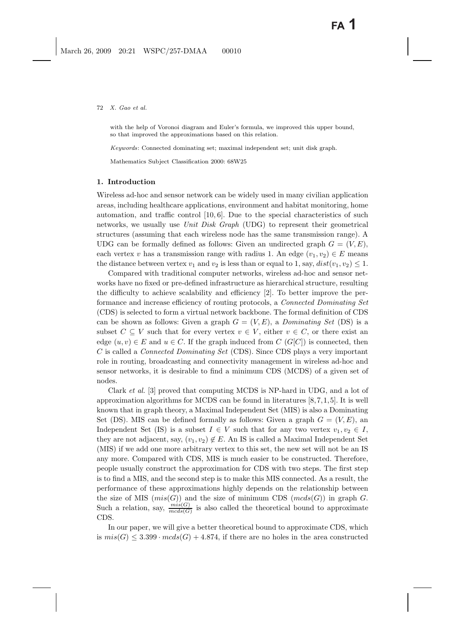with the help of Voronoi diagram and Euler's formula, we improved this upper bound, so that improved the approximations based on this relation.

*Keywords*: Connected dominating set; maximal independent set; unit disk graph.

Mathematics Subject Classification 2000: 68W25

## **1. Introduction**

Wireless ad-hoc and sensor network can be widely used in many civilian application areas, including healthcare applications, environment and habitat monitoring, home automation, and traffic control [10, 6]. Due to the special characteristics of such networks, we usually use *Unit Disk Graph* (UDG) to represent their geometrical structures (assuming that each wireless node has the same transmission range). A UDG can be formally defined as follows: Given an undirected graph  $G = (V, E)$ , each vertex v has a transmission range with radius 1. An edge  $(v_1, v_2) \in E$  means the distance between vertex  $v_1$  and  $v_2$  is less than or equal to 1, say,  $dist(v_1, v_2) \leq 1$ .

Compared with traditional computer networks, wireless ad-hoc and sensor networks have no fixed or pre-defined infrastructure as hierarchical structure, resulting the difficulty to achieve scalability and efficiency [2]. To better improve the performance and increase efficiency of routing protocols, a *Connected Dominating Set* (CDS) is selected to form a virtual network backbone. The formal definition of CDS can be shown as follows: Given a graph  $G = (V, E)$ , a *Dominating Set* (DS) is a subset  $C \subseteq V$  such that for every vertex  $v \in V$ , either  $v \in C$ , or there exist an edge  $(u, v) \in E$  and  $u \in C$ . If the graph induced from  $C(G[C])$  is connected, then C is called a *Connected Dominating Set* (CDS). Since CDS plays a very important role in routing, broadcasting and connectivity management in wireless ad-hoc and sensor networks, it is desirable to find a minimum CDS (MCDS) of a given set of nodes.

Clark *et al.* [3] proved that computing MCDS is NP-hard in UDG, and a lot of approximation algorithms for MCDS can be found in literatures [8,7,1,5]. It is well known that in graph theory, a Maximal Independent Set (MIS) is also a Dominating Set (DS). MIS can be defined formally as follows: Given a graph  $G = (V, E)$ , an Independent Set (IS) is a subset  $I \in V$  such that for any two vertex  $v_1, v_2 \in I$ , they are not adjacent, say,  $(v_1, v_2) \notin E$ . An IS is called a Maximal Independent Set (MIS) if we add one more arbitrary vertex to this set, the new set will not be an IS any more. Compared with CDS, MIS is much easier to be constructed. Therefore, people usually construct the approximation for CDS with two steps. The first step is to find a MIS, and the second step is to make this MIS connected. As a result, the performance of these approximations highly depends on the relationship between the size of MIS  $(mis(G))$  and the size of minimum CDS  $(mcds(G))$  in graph G. Such a relation, say,  $\frac{mis(G)}{mcds(G)}$  is also called the theoretical bound to approximate CDS.

In our paper, we will give a better theoretical bound to approximate CDS, which is  $mis(G) \leq 3.399 \cdot mcds(G) + 4.874$ , if there are no holes in the area constructed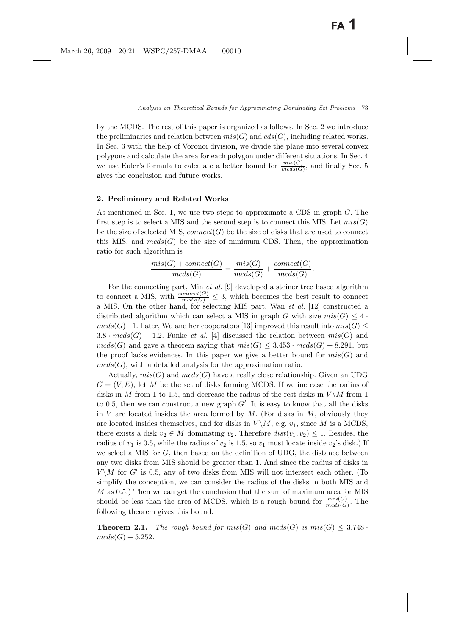by the MCDS. The rest of this paper is organized as follows. In Sec. 2 we introduce the preliminaries and relation between  $mis(G)$  and  $cds(G)$ , including related works. In Sec. 3 with the help of Voronoi division, we divide the plane into several convex polygons and calculate the area for each polygon under different situations. In Sec. 4 we use Euler's formula to calculate a better bound for  $\frac{mis(G)}{mcds(G)}$ , and finally Sec. 5 gives the conclusion and future works.

#### **2. Preliminary and Related Works**

As mentioned in Sec. 1, we use two steps to approximate a CDS in graph G. The first step is to select a MIS and the second step is to connect this MIS. Let  $mis(G)$ be the size of selected MIS, connect(G) be the size of disks that are used to connect this MIS, and  $mcds(G)$  be the size of minimum CDS. Then, the approximation ratio for such algorithm is

$$
\frac{mis(G) + connect(G)}{mcds(G)} = \frac{mis(G)}{mcds(G)} + \frac{connect(G)}{mcds(G)}.
$$

For the connecting part, Min *et al.* [9] developed a steiner tree based algorithm to connect a MIS, with  $\frac{connect(G)}{meds(G)} \leq 3$ , which becomes the best result to connect a MIS. On the other hand, for selecting MIS part, Wan *et al.* [12] constructed a distributed algorithm which can select a MIS in graph G with size  $mis(G) \leq 4$ .  $mcds(G)+1$ . Later, Wu and her cooperators [13] improved this result into  $mis(G) \leq$  $3.8 \cdot mcds(G) + 1.2$ . Funke *et al.* [4] discussed the relation between  $mis(G)$  and  $mcds(G)$  and gave a theorem saying that  $mis(G) \leq 3.453 \cdot meds(G) + 8.291$ , but the proof lacks evidences. In this paper we give a better bound for  $mis(G)$  and  $mcds(G)$ , with a detailed analysis for the approximation ratio.

Actually,  $mis(G)$  and  $mcds(G)$  have a really close relationship. Given an UDG  $G = (V, E)$ , let M be the set of disks forming MCDS. If we increase the radius of disks in M from 1 to 1.5, and decrease the radius of the rest disks in  $V\backslash M$  from 1 to 0.5, then we can construct a new graph  $G'$ . It is easy to know that all the disks in V are located insides the area formed by  $M$ . (For disks in  $M$ , obviously they are located insides themselves, and for disks in  $V \backslash M$ , e.g.  $v_1$ , since M is a MCDS, there exists a disk  $v_2 \in M$  dominating  $v_2$ . Therefore  $dist(v_1, v_2) \leq 1$ . Besides, the radius of  $v_1$  is 0.5, while the radius of  $v_2$  is 1.5, so  $v_1$  must locate inside  $v_2$ 's disk.) If we select a MIS for  $G$ , then based on the definition of UDG, the distance between any two disks from MIS should be greater than 1. And since the radius of disks in  $V \backslash M$  for G' is 0.5, any of two disks from MIS will not intersect each other. (To simplify the conception, we can consider the radius of the disks in both MIS and  $M$  as 0.5.) Then we can get the conclusion that the sum of maximum area for MIS should be less than the area of MCDS, which is a rough bound for  $\frac{mis(G)}{meds(G)}$ . The following theorem gives this bound.

**Theorem 2.1.** *The rough bound for*  $mis(G)$  *and*  $mcds(G)$  *is*  $mis(G) \leq 3.748$ .  $mcds(G) + 5.252$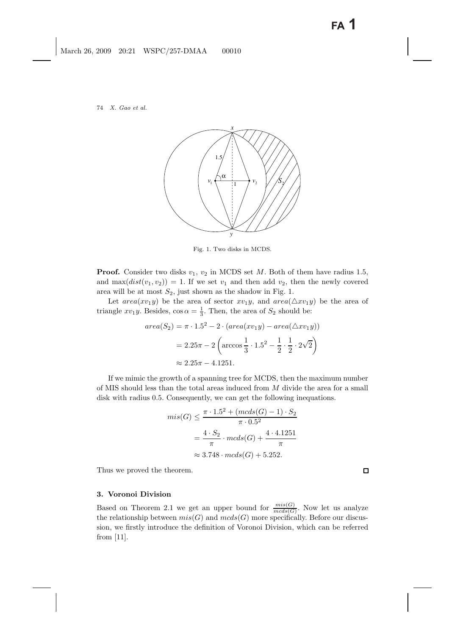

Fig. 1. Two disks in MCDS.

**Proof.** Consider two disks  $v_1$ ,  $v_2$  in MCDS set M. Both of them have radius 1.5, and  $\max(dist(v_1, v_2)) = 1$ . If we set  $v_1$  and then add  $v_2$ , then the newly covered area will be at most  $S_2$ , just shown as the shadow in Fig. 1.

Let  $area(xv_1y)$  be the area of sector  $xv_1y$ , and  $area(\triangle xv_1y)$  be the area of triangle  $xv_1y$ . Besides,  $\cos \alpha = \frac{1}{3}$ . Then, the area of  $S_2$  should be:

$$
area(S_2) = \pi \cdot 1.5^2 - 2 \cdot (area(xv_1y) - area(\triangle xv_1y))
$$

$$
= 2.25\pi - 2 \left( arccos \frac{1}{3} \cdot 1.5^2 - \frac{1}{2} \cdot \frac{1}{2} \cdot 2\sqrt{2} \right)
$$

$$
\approx 2.25\pi - 4.1251.
$$

If we mimic the growth of a spanning tree for MCDS, then the maximum number of MIS should less than the total areas induced from  $M$  divide the area for a small disk with radius 0.5. Consequently, we can get the following inequations.

$$
mis(G) \le \frac{\pi \cdot 1.5^2 + (mds(G) - 1) \cdot S_2}{\pi \cdot 0.5^2}
$$

$$
= \frac{4 \cdot S_2}{\pi} \cdot meds(G) + \frac{4 \cdot 4.1251}{\pi}
$$

$$
\approx 3.748 \cdot meds(G) + 5.252.
$$

Thus we proved the theorem.

## **3. Voronoi Division**

Based on Theorem 2.1 we get an upper bound for  $\frac{mis(G)}{mcds(G)}$ . Now let us analyze the relationship between  $mis(G)$  and  $mcs(G)$  more specifically. Before our discussion, we firstly introduce the definition of Voronoi Division, which can be referred from [11].

 $\Box$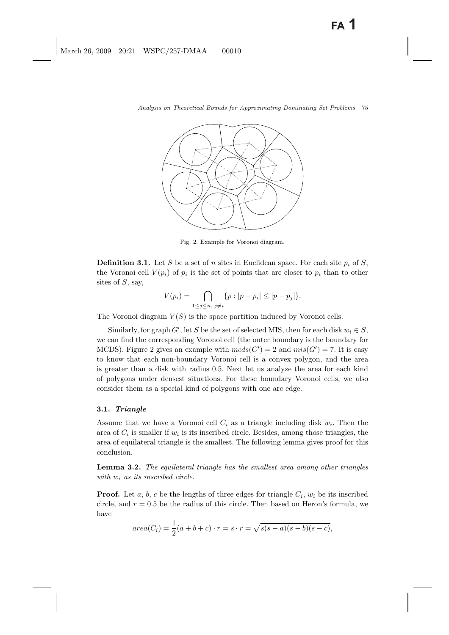

Fig. 2. Example for Voronoi diagram.

**Definition 3.1.** Let S be a set of n sites in Euclidean space. For each site  $p_i$  of S, the Voronoi cell  $V(p_i)$  of  $p_i$  is the set of points that are closer to  $p_i$  than to other sites of  $S$ , say,

$$
V(p_i) = \bigcap_{1 \le j \le n, \ j \ne i} \{p : |p - p_i| \le |p - p_j|\}.
$$

The Voronoi diagram  $V(S)$  is the space partition induced by Voronoi cells.

Similarly, for graph G', let S be the set of selected MIS, then for each disk  $w_i \in S$ , we can find the corresponding Voronoi cell (the outer boundary is the boundary for MCDS). Figure 2 gives an example with  $mcds(G') = 2$  and  $mis(G') = 7$ . It is easy to know that each non-boundary Voronoi cell is a convex polygon, and the area is greater than a disk with radius 0.5. Next let us analyze the area for each kind of polygons under densest situations. For these boundary Voronoi cells, we also consider them as a special kind of polygons with one arc edge.

### **3.1.** *Triangle*

Assume that we have a Voronoi cell  $C_i$  as a triangle including disk  $w_i$ . Then the area of  $C_i$  is smaller if  $w_i$  is its inscribed circle. Besides, among those triangles, the area of equilateral triangle is the smallest. The following lemma gives proof for this conclusion.

**Lemma 3.2.** *The equilateral triangle has the smallest area among other triangles with* w<sup>i</sup> *as its inscribed circle.*

**Proof.** Let a, b, c be the lengths of three edges for triangle  $C_i$ ,  $w_i$  be its inscribed circle, and  $r = 0.5$  be the radius of this circle. Then based on Heron's formula, we have

$$
area(C_i) = \frac{1}{2}(a+b+c) \cdot r = s \cdot r = \sqrt{s(s-a)(s-b)(s-c)},
$$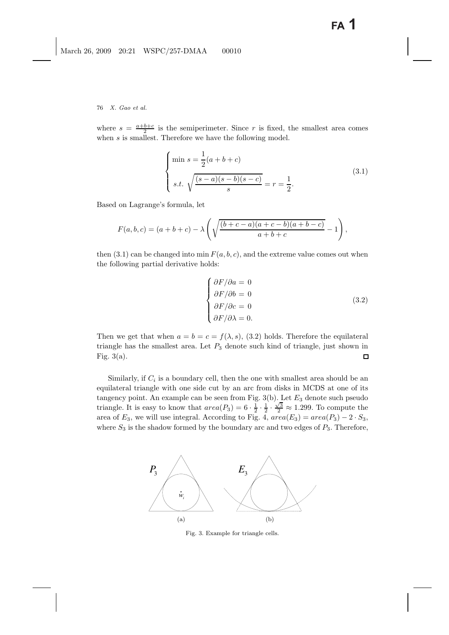where  $s = \frac{a+b+c}{2}$  is the semiperimeter. Since r is fixed, the smallest area comes when s is smallest. Therefore we have the following model.

$$
\begin{cases}\n\min s = \frac{1}{2}(a+b+c) \\
s.t. \ \sqrt{\frac{(s-a)(s-b)(s-c)}{s}} = r = \frac{1}{2}.\n\end{cases}
$$
\n(3.1)

Based on Lagrange's formula, let

$$
F(a, b, c) = (a + b + c) - \lambda \left( \sqrt{\frac{(b + c - a)(a + c - b)(a + b - c)}{a + b + c}} - 1 \right),
$$

then (3.1) can be changed into min  $F(a, b, c)$ , and the extreme value comes out when the following partial derivative holds:

$$
\begin{cases}\n\frac{\partial F}{\partial a} = 0 \\
\frac{\partial F}{\partial b} = 0 \\
\frac{\partial F}{\partial c} = 0 \\
\frac{\partial F}{\partial a} = 0.\n\end{cases}
$$
\n(3.2)

Then we get that when  $a = b = c = f(\lambda, s)$ , (3.2) holds. Therefore the equilateral triangle has the smallest area. Let  $P_3$  denote such kind of triangle, just shown in Fig.  $3(a)$ .  $\Box$ 

Similarly, if  $C_i$  is a boundary cell, then the one with smallest area should be an equilateral triangle with one side cut by an arc from disks in MCDS at one of its tangency point. An example can be seen from Fig.  $3(b)$ . Let  $E_3$  denote such pseudo triangle. It is easy to know that  $area(P_3)=6 \cdot \frac{1}{2} \cdot \frac{1}{2} \cdot \frac{\sqrt{3}}{2} \approx 1.299$ . To compute the area of  $E_3$ , we will use integral. According to Fig. 4,  $area(E_3) = area(P_3) - 2 \cdot S_3$ , where  $S_3$  is the shadow formed by the boundary arc and two edges of  $P_3$ . Therefore,



Fig. 3. Example for triangle cells.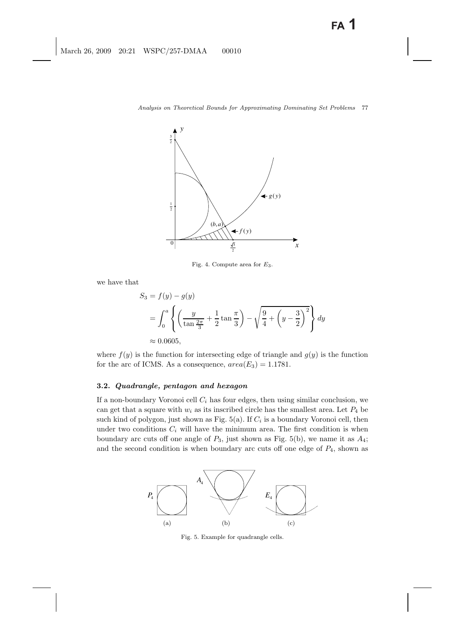

Fig. 4. Compute area for *E*3.

we have that

$$
S_3 = f(y) - g(y)
$$
  
=  $\int_0^a \left\{ \left( \frac{y}{\tan \frac{2\pi}{3}} + \frac{1}{2} \tan \frac{\pi}{3} \right) - \sqrt{\frac{9}{4} + \left( y - \frac{3}{2} \right)^2} \right\} dy$   
 $\approx 0.0605,$ 

where  $f(y)$  is the function for intersecting edge of triangle and  $g(y)$  is the function for the arc of ICMS. As a consequence,  $area(E_3)=1.1781$ .

# **3.2.** *Quadrangle, pentagon and hexagon*

If a non-boundary Voronoi cell  $C_i$  has four edges, then using similar conclusion, we can get that a square with  $w_i$  as its inscribed circle has the smallest area. Let  $P_4$  be such kind of polygon, just shown as Fig.  $5(a)$ . If  $C<sub>i</sub>$  is a boundary Voronoi cell, then under two conditions  $C_i$  will have the minimum area. The first condition is when boundary arc cuts off one angle of  $P_3$ , just shown as Fig. 5(b), we name it as  $A_4$ ; and the second condition is when boundary arc cuts off one edge of  $P_4$ , shown as



Fig. 5. Example for quadrangle cells.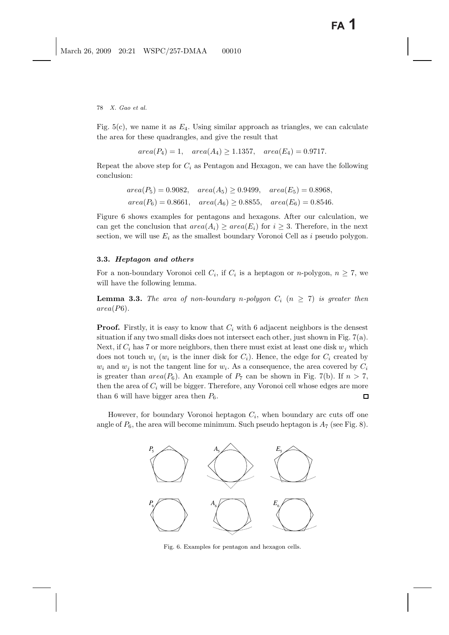Fig.  $5(c)$ , we name it as  $E_4$ . Using similar approach as triangles, we can calculate the area for these quadrangles, and give the result that

 $area(P_4)=1, \quad area(A_4) \ge 1.1357, \quad area(E_4)=0.9717.$ 

Repeat the above step for  $C_i$  as Pentagon and Hexagon, we can have the following conclusion:

$$
area(P_5) = 0.9082, \quad area(A_5) \ge 0.9499, \quad area(E_5) = 0.8968,
$$
  

$$
area(P_6) = 0.8661, \quad area(A_6) \ge 0.8855, \quad area(E_6) = 0.8546.
$$

Figure 6 shows examples for pentagons and hexagons. After our calculation, we can get the conclusion that  $area(A_i) \geq area(E_i)$  for  $i \geq 3$ . Therefore, in the next section, we will use  $E_i$  as the smallest boundary Voronoi Cell as i pseudo polygon.

# **3.3.** *Heptagon and others*

For a non-boundary Voronoi cell  $C_i$ , if  $C_i$  is a heptagon or *n*-polygon,  $n \geq 7$ , we will have the following lemma.

**Lemma 3.3.** The area of non-boundary n-polygon  $C_i$   $(n \geq 7)$  is greater then area(P6)*.*

**Proof.** Firstly, it is easy to know that  $C_i$  with 6 adjacent neighbors is the densest situation if any two small disks does not intersect each other, just shown in Fig. 7(a). Next, if  $C_i$  has 7 or more neighbors, then there must exist at least one disk  $w_i$  which does not touch  $w_i$  ( $w_i$  is the inner disk for  $C_i$ ). Hence, the edge for  $C_i$  created by  $w_i$  and  $w_j$  is not the tangent line for  $w_i$ . As a consequence, the area covered by  $C_i$ is greater than  $area(P_6)$ . An example of  $P_7$  can be shown in Fig. 7(b). If  $n > 7$ , then the area of  $C_i$  will be bigger. Therefore, any Voronoi cell whose edges are more than 6 will have bigger area then  $P_6$ .  $\Box$ 

However, for boundary Voronoi heptagon  $C_i$ , when boundary arc cuts off one angle of  $P_6$ , the area will become minimum. Such pseudo heptagon is  $A_7$  (see Fig. 8).



Fig. 6. Examples for pentagon and hexagon cells.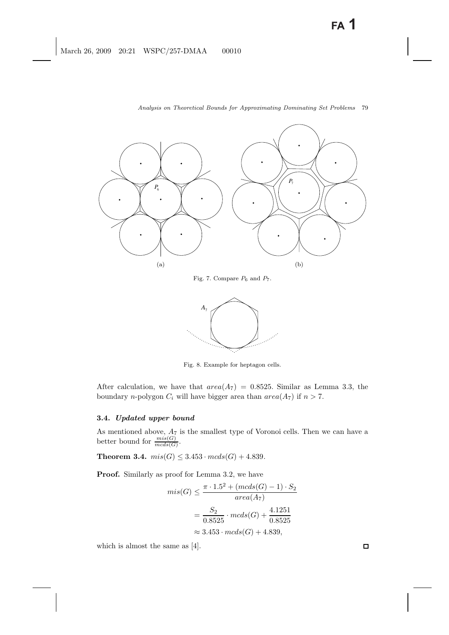

Fig. 7. Compare *P*<sup>6</sup> and *P*7.



Fig. 8. Example for heptagon cells.

After calculation, we have that  $area(A_7) = 0.8525$ . Similar as Lemma 3.3, the boundary *n*-polygon  $C_i$  will have bigger area than  $area(A_7)$  if  $n > 7$ .

### **3.4.** *Updated upper bound*

As mentioned above,  $A_7$  is the smallest type of Voronoi cells. Then we can have a better bound for  $\frac{mis(G)}{mcds(G)}$ .

**Theorem 3.4.**  $mis(G) \leq 3.453 \cdot mcds(G) + 4.839$ .

**Proof.** Similarly as proof for Lemma 3.2, we have

$$
mis(G) \le \frac{\pi \cdot 1.5^2 + (mcds(G) - 1) \cdot S_2}{area(A_7)}
$$

$$
= \frac{S_2}{0.8525} \cdot mcds(G) + \frac{4.1251}{0.8525}
$$

$$
\approx 3.453 \cdot mcds(G) + 4.839,
$$

which is almost the same as [4].

 $\Box$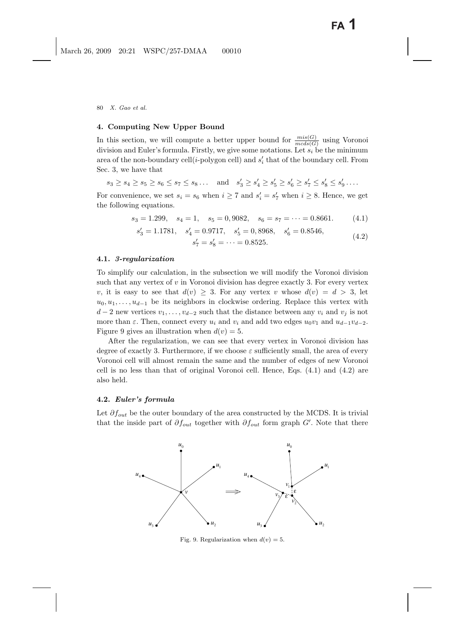# **4. Computing New Upper Bound**

In this section, we will compute a better upper bound for  $\frac{mis(G)}{mcds(G)}$  using Voronoi division and Euler's formula. Firstly, we give some notations. Let  $s_i$  be the minimum area of the non-boundary cell(*i*-polygon cell) and  $s'_{i}$  that of the boundary cell. From Sec. 3, we have that

$$
s_3 \ge s_4 \ge s_5 \ge s_6 \le s_7 \le s_8 \dots
$$
 and  $s'_3 \ge s'_4 \ge s'_5 \ge s'_6 \ge s'_7 \le s'_8 \le s'_9 \dots$ 

For convenience, we set  $s_i = s_6$  when  $i \ge 7$  and  $s'_i = s'_7$  when  $i \ge 8$ . Hence, we get the following equations.

$$
s_3 = 1.299
$$
,  $s_4 = 1$ ,  $s_5 = 0.9082$ ,  $s_6 = s_7 = \cdots = 0.8661$ . (4.1)

$$
s'_3 = 1.1781
$$
,  $s'_4 = 0.9717$ ,  $s'_5 = 0,8968$ ,  $s'_6 = 0.8546$ ,  
 $s'_7 = s'_8 = \dots = 0.8525$ . (4.2)

### **4.1.** *3-regularization*

To simplify our calculation, in the subsection we will modify the Voronoi division such that any vertex of  $v$  in Voronoi division has degree exactly 3. For every vertex v, it is easy to see that  $d(v) \geq 3$ . For any vertex v whose  $d(v) = d > 3$ , let  $u_0, u_1, \ldots, u_{d-1}$  be its neighbors in clockwise ordering. Replace this vertex with  $d-2$  new vertices  $v_1,\ldots,v_{d-2}$  such that the distance between any  $v_i$  and  $v_j$  is not more than  $\varepsilon$ . Then, connect every  $u_i$  and  $v_i$  and add two edges  $u_0v_1$  and  $u_{d-1}v_{d-2}$ . Figure 9 gives an illustration when  $d(v) = 5$ .

After the regularization, we can see that every vertex in Voronoi division has degree of exactly 3. Furthermore, if we choose  $\varepsilon$  sufficiently small, the area of every Voronoi cell will almost remain the same and the number of edges of new Voronoi cell is no less than that of original Voronoi cell. Hence, Eqs. (4.1) and (4.2) are also held.

### **4.2.** *Euler's formula*

Let  $\partial f_{out}$  be the outer boundary of the area constructed by the MCDS. It is trivial that the inside part of  $\partial f_{out}$  together with  $\partial f_{out}$  form graph G'. Note that there



Fig. 9. Regularization when  $d(v) = 5$ .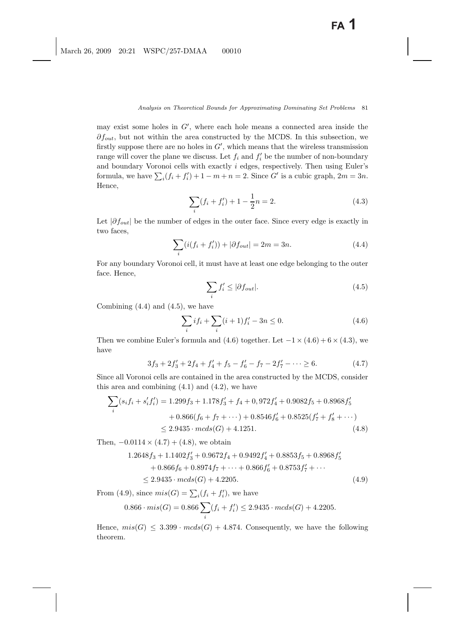may exist some holes in  $G'$ , where each hole means a connected area inside the  $\partial f_{out}$ , but not within the area constructed by the MCDS. In this subsection, we firstly suppose there are no holes in  $G'$ , which means that the wireless transmission range will cover the plane we discuss. Let  $f_i$  and  $f'_i$  be the number of non-boundary and boundary Voronoi cells with exactly i edges, respectively. Then using Euler's formula, we have  $\sum_i(f_i + f'_i) + 1 - m + n = 2$ . Since G' is a cubic graph,  $2m = 3n$ . Hence,

$$
\sum_{i} (f_i + f'_i) + 1 - \frac{1}{2}n = 2.
$$
\n(4.3)

Let  $|\partial f_{out}|$  be the number of edges in the outer face. Since every edge is exactly in two faces,

$$
\sum_{i} (i(f_i + f'_i)) + |\partial f_{out}| = 2m = 3n.
$$
 (4.4)

For any boundary Voronoi cell, it must have at least one edge belonging to the outer face. Hence,

$$
\sum_{i} f'_{i} \le |\partial f_{out}|. \tag{4.5}
$$

Combining  $(4.4)$  and  $(4.5)$ , we have

$$
\sum_{i} if_i + \sum_{i} (i+1)f'_i - 3n \le 0.
$$
\n(4.6)

Then we combine Euler's formula and  $(4.6)$  together. Let  $-1 \times (4.6) + 6 \times (4.3)$ , we have

$$
3f_3 + 2f'_3 + 2f_4 + f'_4 + f_5 - f'_6 - f_7 - 2f'_7 - \dots \ge 6. \tag{4.7}
$$

Since all Voronoi cells are contained in the area constructed by the MCDS, consider this area and combining  $(4.1)$  and  $(4.2)$ , we have

$$
\sum_{i} (s_i f_i + s'_i f'_i) = 1.299 f_3 + 1.178 f'_3 + f_4 + 0,972 f'_4 + 0.9082 f_5 + 0.8968 f'_5
$$
  
+ 0.866(f<sub>6</sub> + f<sub>7</sub> + ···) + 0.8546 f'<sub>6</sub> + 0.8525(f'<sub>7</sub> + f'<sub>8</sub> + ···)  

$$
\leq 2.9435 \cdot mcds(G) + 4.1251.
$$
 (4.8)

Then,  $-0.0114 \times (4.7) + (4.8)$ , we obtain

$$
1.2648f_3 + 1.1402f'_3 + 0.9672f_4 + 0.9492f'_4 + 0.8853f_5 + 0.8968f'_5
$$
  
+ 0.866f\_6 + 0.8974f\_7 + \dots + 0.866f'\_6 + 0.8753f'\_7 + \dots  
\n
$$
\leq 2.9435 \cdot mcds(G) + 4.2205.
$$
 (4.9)

From (4.9), since  $mis(G) = \sum_i(f_i + f'_i)$ , we have

$$
0.866 \cdot mis(G) = 0.866 \sum_{i} (f_i + f'_i) \le 2.9435 \cdot mcds(G) + 4.2205.
$$

Hence,  $mis(G) \leq 3.399 \cdot mcs(G) + 4.874$ . Consequently, we have the following theorem.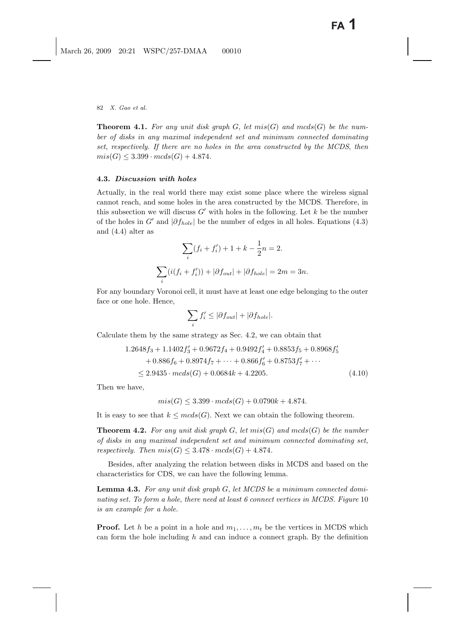**Theorem 4.1.** For any unit disk graph  $G$ , let  $mis(G)$  and  $mcds(G)$  be the num*ber of disks in any maximal independent set and minimum connected dominating set*, *respectively. If there are no holes in the area constructed by the MCDS*, *then*  $mis(G) \leq 3.399 \cdot mcds(G) + 4.874.$ 

# **4.3.** *Discussion with holes*

Actually, in the real world there may exist some place where the wireless signal cannot reach, and some holes in the area constructed by the MCDS. Therefore, in this subsection we will discuss  $G'$  with holes in the following. Let k be the number of the holes in G' and  $|\partial f_{hole}|$  be the number of edges in all holes. Equations (4.3) and (4.4) alter as

$$
\sum_{i} (f_i + f'_i) + 1 + k - \frac{1}{2}n = 2.
$$
  

$$
\sum_{i} (i(f_i + f'_i)) + |\partial f_{out}| + |\partial f_{hole}| = 2m = 3n.
$$

For any boundary Voronoi cell, it must have at least one edge belonging to the outer face or one hole. Hence,

$$
\sum_{i} f'_{i} \leq |\partial f_{out}| + |\partial f_{hole}|.
$$

Calculate them by the same strategy as Sec. 4.2, we can obtain that

$$
1.2648f_3 + 1.1402f'_3 + 0.9672f_4 + 0.9492f'_4 + 0.8853f_5 + 0.8968f'_5
$$
  
+ 0.886f\_6 + 0.8974f\_7 + \dots + 0.866f'\_6 + 0.8753f'\_7 + \dots  
\le 2.9435 \cdot mcds(G) + 0.0684k + 4.2205. (4.10)

Then we have,

$$
mis(G) \leq 3.399 \cdot mcds(G) + 0.0790k + 4.874.
$$

It is easy to see that  $k \leq mcds(G)$ . Next we can obtain the following theorem.

**Theorem 4.2.** For any unit disk graph  $G$ , let  $mis(G)$  and  $mcds(G)$  be the number *of disks in any maximal independent set and minimum connected dominating set*, *respectively. Then*  $mis(G) \leq 3.478 \cdot mcds(G) + 4.874$ .

Besides, after analyzing the relation between disks in MCDS and based on the characteristics for CDS, we can have the following lemma.

**Lemma 4.3.** *For any unit disk graph* G, *let MCDS be a minimum connected dominating set. To form a hole*, *there need at least 6 connect vertices in MCDS. Figure* 10 *is an example for a hole.*

**Proof.** Let h be a point in a hole and  $m_1, \ldots, m_t$  be the vertices in MCDS which can form the hole including  $h$  and can induce a connect graph. By the definition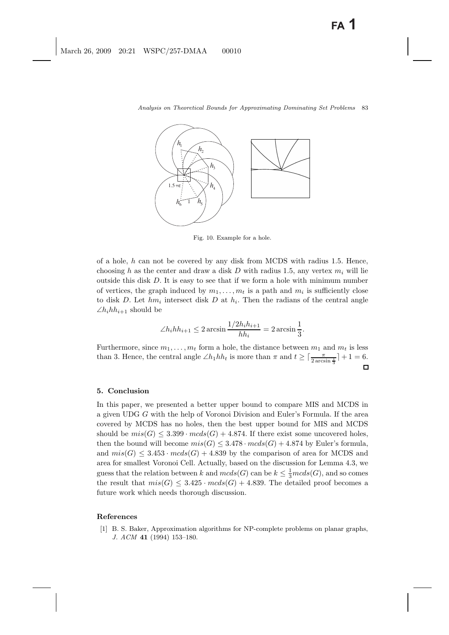

Fig. 10. Example for a hole.

of a hole,  $h$  can not be covered by any disk from MCDS with radius 1.5. Hence, choosing h as the center and draw a disk D with radius 1.5, any vertex  $m_i$  will lie outside this disk  $D$ . It is easy to see that if we form a hole with minimum number of vertices, the graph induced by  $m_1, \ldots, m_t$  is a path and  $m_i$  is sufficiently close to disk D. Let  $hm_i$  intersect disk D at  $h_i$ . Then the radians of the central angle  $\angle h_i h_{i+1}$  should be

$$
\angle h_i h h_{i+1} \le 2 \arcsin \frac{1/2h_i h_{i+1}}{h h_i} = 2 \arcsin \frac{1}{3}.
$$

Furthermore, since  $m_1, \ldots, m_t$  form a hole, the distance between  $m_1$  and  $m_t$  is less than 3. Hence, the central angle  $\angle h_1 h h_t$  is more than  $\pi$  and  $t \ge \lceil \frac{\pi}{2 \arcsin \frac{1}{3}} \rceil + 1 = 6$ .  $\Box$ 

# **5. Conclusion**

In this paper, we presented a better upper bound to compare MIS and MCDS in a given UDG G with the help of Voronoi Division and Euler's Formula. If the area covered by MCDS has no holes, then the best upper bound for MIS and MCDS should be  $mis(G) \leq 3.399 \cdot mcds(G) + 4.874$ . If there exist some uncovered holes, then the bound will become  $mis(G) \leq 3.478 \cdot mcds(G) + 4.874$  by Euler's formula, and  $mis(G) \leq 3.453 \cdot med(s(G)) + 4.839$  by the comparison of area for MCDS and area for smallest Voronoi Cell. Actually, based on the discussion for Lemma 4.3, we guess that the relation between k and  $mcds(G)$  can be  $k \leq \frac{1}{3}mcds(G)$ , and so comes the result that  $mis(G) \leq 3.425 \cdot mcds(G) + 4.839$ . The detailed proof becomes a future work which needs thorough discussion.

#### **References**

[1] B. S. Baker, Approximation algorithms for NP-complete problems on planar graphs, *J. ACM* **41** (1994) 153–180.